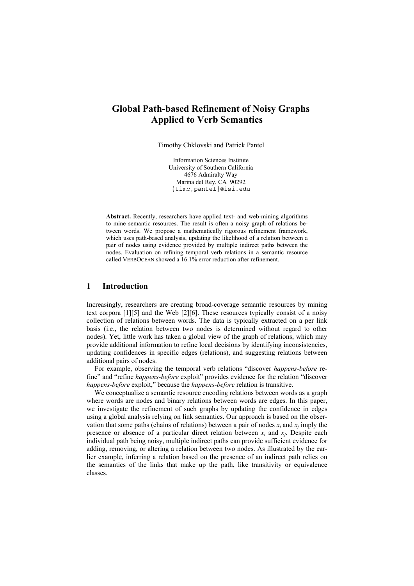# **Global Path-based Refinement of Noisy Graphs Applied to Verb Semantics**

Timothy Chklovski and Patrick Pantel

Information Sciences Institute University of Southern California 4676 Admiralty Way Marina del Rey, CA 90292 {timc,pantel}@isi.edu

**Abstract.** Recently, researchers have applied text- and web-mining algorithms to mine semantic resources. The result is often a noisy graph of relations between words. We propose a mathematically rigorous refinement framework, which uses path-based analysis, updating the likelihood of a relation between a pair of nodes using evidence provided by multiple indirect paths between the nodes. Evaluation on refining temporal verb relations in a semantic resource called VERBOCEAN showed a 16.1% error reduction after refinement.

# **1 Introduction**

Increasingly, researchers are creating broad-coverage semantic resources by mining text corpora [1][5] and the Web [2][6]. These resources typically consist of a noisy collection of relations between words. The data is typically extracted on a per link basis (i.e., the relation between two nodes is determined without regard to other nodes). Yet, little work has taken a global view of the graph of relations, which may provide additional information to refine local decisions by identifying inconsistencies, updating confidences in specific edges (relations), and suggesting relations between additional pairs of nodes.

For example, observing the temporal verb relations "discover *happens-before* refine" and "refine *happens-before* exploit" provides evidence for the relation "discover *happens-before* exploit," because the *happens-before* relation is transitive.

We conceptualize a semantic resource encoding relations between words as a graph where words are nodes and binary relations between words are edges. In this paper, we investigate the refinement of such graphs by updating the confidence in edges using a global analysis relying on link semantics. Our approach is based on the observation that some paths (chains of relations) between a pair of nodes  $x_i$  and  $x_j$  imply the presence or absence of a particular direct relation between  $x_i$  and  $x_j$ . Despite each individual path being noisy, multiple indirect paths can provide sufficient evidence for adding, removing, or altering a relation between two nodes. As illustrated by the earlier example, inferring a relation based on the presence of an indirect path relies on the semantics of the links that make up the path, like transitivity or equivalence classes.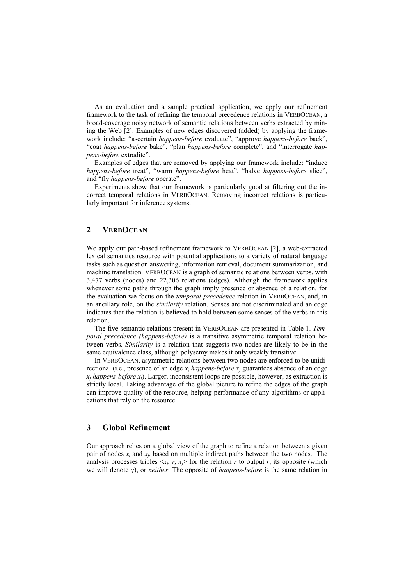As an evaluation and a sample practical application, we apply our refinement framework to the task of refining the temporal precedence relations in VERBOCEAN, a broad-coverage noisy network of semantic relations between verbs extracted by mining the Web [2]. Examples of new edges discovered (added) by applying the framework include: "ascertain *happens-before* evaluate", "approve *happens-before* back", "coat *happens-before* bake", "plan *happens-before* complete", and "interrogate *happens-before* extradite".

Examples of edges that are removed by applying our framework include: "induce *happens-before* treat", "warm *happens-before* heat", "halve *happens-before* slice", and "fly *happens-before* operate".

Experiments show that our framework is particularly good at filtering out the incorrect temporal relations in VERBOCEAN. Removing incorrect relations is particularly important for inference systems.

# **2 VERBOCEAN**

We apply our path-based refinement framework to VERBOCEAN [2], a web-extracted lexical semantics resource with potential applications to a variety of natural language tasks such as question answering, information retrieval, document summarization, and machine translation. VERBOCEAN is a graph of semantic relations between verbs, with 3,477 verbs (nodes) and 22,306 relations (edges). Although the framework applies whenever some paths through the graph imply presence or absence of a relation, for the evaluation we focus on the *temporal precedence* relation in VERBOCEAN, and, in an ancillary role, on the *similarity* relation. Senses are not discriminated and an edge indicates that the relation is believed to hold between some senses of the verbs in this relation.

The five semantic relations present in VERBOCEAN are presented in Table 1. *Temporal precedence (happens-before)* is a transitive asymmetric temporal relation between verbs. *Similarity* is a relation that suggests two nodes are likely to be in the same equivalence class, although polysemy makes it only weakly transitive.

In VERBOCEAN, asymmetric relations between two nodes are enforced to be unidirectional (i.e., presence of an edge  $x_i$  happens-before  $x_i$  guarantees absence of an edge  $x_i$  *happens-before*  $x_i$ ). Larger, inconsistent loops are possible, however, as extraction is strictly local. Taking advantage of the global picture to refine the edges of the graph can improve quality of the resource, helping performance of any algorithms or applications that rely on the resource.

# **3 Global Refinement**

Our approach relies on a global view of the graph to refine a relation between a given pair of nodes  $x_i$  and  $x_j$ , based on multiple indirect paths between the two nodes. The analysis processes triples  $\langle x_i, r, x \rangle$  for the relation *r* to output *r*, its opposite (which we will denote *q*), or *neither*. The opposite of *happens-before* is the same relation in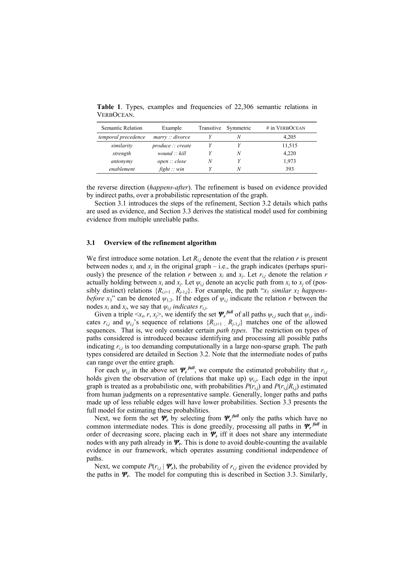| Semantic Relation   | Example                 | Transitive | Symmetric | # in VERBOCEAN |
|---------------------|-------------------------|------------|-----------|----------------|
| temporal precedence | marrow::divorce         |            | N         | 4.205          |
| similarity          | produce :: create       |            |           | 11,515         |
| strength            | wound $\therefore$ kill |            | N         | 4,220          |
| antonymy            | open::close             | N          |           | 1,973          |
| enablement          | $\mathit{fight}$ : win  |            | N         | 393            |

**Table 1**. Types, examples and frequencies of 22,306 semantic relations in VERBOCEAN.

the reverse direction (*happens-after*). The refinement is based on evidence provided by indirect paths, over a probabilistic representation of the graph.

Section 3.1 introduces the steps of the refinement, Section 3.2 details which paths are used as evidence, and Section 3.3 derives the statistical model used for combining evidence from multiple unreliable paths.

### **3.1 Overview of the refinement algorithm**

We first introduce some notation. Let  $R_{i,j}$  denote the event that the relation  $r$  is present between nodes  $x_i$  and  $x_j$  in the original graph – i.e., the graph indicates (perhaps spuriously) the presence of the relation *r* between  $x_i$  and  $x_j$ . Let  $r_{i,j}$  denote the relation *r* actually holding between  $x_i$  and  $x_j$ . Let  $\psi_{i,j}$  denote an acyclic path from  $x_i$  to  $x_j$  of (possibly distinct) relations  ${R_{i,i+1}$   $R_{i-1,i}}$ . For example, the path " $x_1$  *similar*  $x_2$  *happensbefore*  $x_3$ " can be denoted  $\psi_{1,3}$ . If the edges of  $\psi_{i,j}$  indicate the relation *r* between the nodes  $x_i$  and  $x_j$ , we say that  $\psi_{i,j}$  *indicates*  $r_{i,j}$ .

Given a triple  $\langle x_i, r, x_j \rangle$ , we identify the set  $\Psi_r^{full}$  of all paths  $\psi_{i,j}$  such that  $\psi_{i,j}$  indicates  $r_{i,j}$  and  $\psi_{i,j}$ 's sequence of relations  $\{R_{i,i+1} \dots R_{j-1,j}\}$  matches one of the allowed sequences. That is, we only consider certain *path types*. The restriction on types of paths considered is introduced because identifying and processing all possible paths indicating  $r_{i,j}$  is too demanding computationally in a large non-sparse graph. The path types considered are detailed in Section 3.2. Note that the intermediate nodes of paths can range over the entire graph.

For each  $\psi_{i,j}$  in the above set  $\Psi_r^{full}$ , we compute the estimated probability that  $r_{i,j}$ holds given the observation of (relations that make up)  $\psi_{ij}$ . Each edge in the input graph is treated as a probabilistic one, with probabilities  $P(r_{i,j})$  and  $P(r_{i,j}|R_{i,j})$  estimated from human judgments on a representative sample. Generally, longer paths and paths made up of less reliable edges will have lower probabilities. Section 3.3 presents the full model for estimating these probabilities.

Next, we form the set  $\Psi_r$  by selecting from  $\Psi_r^{full}$  only the paths which have no common intermediate nodes. This is done greedily, processing all paths in *Ψ<sup>r</sup> full* in order of decreasing score, placing each in *Ψr* iff it does not share any intermediate nodes with any path already in *Ψr*. This is done to avoid double-counting the available evidence in our framework, which operates assuming conditional independence of paths.

Next, we compute  $P(r_{i,j} | \Psi_r)$ , the probability of  $r_{i,j}$  given the evidence provided by the paths in *Ψr*. The model for computing this is described in Section 3.3. Similarly,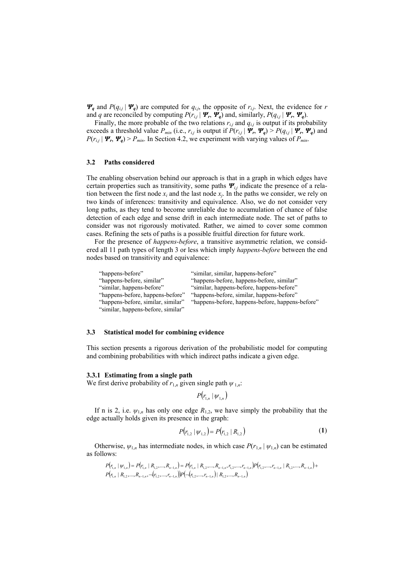*Ψ*<sub>*q*</sub> and *P*( $q_{i,j}$  |  $\Psi_q$ ) are computed for  $q_{i,j}$ , the opposite of  $r_{i,j}$ . Next, the evidence for *r* and *q* are reconciled by computing  $P(r_{i,j} | \Psi_r, \Psi_q)$  and, similarly,  $P(q_{i,j} | \Psi_r, \Psi_q)$ .

Finally, the more probable of the two relations  $r_{i,j}$  and  $q_{i,j}$  is output if its probability exceeds a threshold value  $P_{min}$  (i.e.,  $r_{i,j}$  is output if  $P(r_{i,j} | \Psi_r, \Psi_q) > P(q_{i,j} | \Psi_r, \Psi_q)$  and  $P(r_{i,j} | \Psi_r, \Psi_q) > P_{min}$ . In Section 4.2, we experiment with varying values of  $P_{min}$ .

### **3.2 Paths considered**

The enabling observation behind our approach is that in a graph in which edges have certain properties such as transitivity, some paths *Ψi,j* indicate the presence of a relation between the first node  $x_i$  and the last node  $x_j$ . In the paths we consider, we rely on two kinds of inferences: transitivity and equivalence. Also, we do not consider very long paths, as they tend to become unreliable due to accumulation of chance of false detection of each edge and sense drift in each intermediate node. The set of paths to consider was not rigorously motivated. Rather, we aimed to cover some common cases. Refining the sets of paths is a possible fruitful direction for future work.

For the presence of *happens-before*, a transitive asymmetric relation, we considered all 11 path types of length 3 or less which imply *happens-before* between the end nodes based on transitivity and equivalence:

| "happens-before"                   | "similar, similar, happens-before"               |
|------------------------------------|--------------------------------------------------|
| "happens-before, similar"          | "happens-before, happens-before, similar"        |
| "similar, happens-before"          | "similar, happens-before, happens-before"        |
| "happens-before, happens-before"   | "happens-before, similar, happens-before"        |
| "happens-before, similar, similar" | "happens-before, happens-before, happens-before" |
| "similar, happens-before, similar" |                                                  |

#### **3.3 Statistical model for combining evidence**

This section presents a rigorous derivation of the probabilistic model for computing and combining probabilities with which indirect paths indicate a given edge.

#### **3.3.1 Estimating from a single path**

We first derive probability of  $r_{1,n}$  given single path  $\psi_{1,n}$ :

$$
P(r_{1,n} \,|\, \psi_{1,n})
$$

If n is 2, i.e.  $\psi_{1,n}$  has only one edge  $R_{1,2}$ , we have simply the probability that the edge actually holds given its presence in the graph:

$$
P(r_{1,2} | \psi_{1,2}) = P(r_{1,2} | R_{1,2})
$$
\n(1)

Otherwise,  $\psi_{1,n}$  has intermediate nodes, in which case  $P(r_{1,n} | \psi_{1,n})$  can be estimated as follows:

$$
P(r_{1,n} | V_{1,n}) = P(r_{1,n} | R_{1,2},...,R_{n-1,n}) = P(r_{1,n} | R_{1,2},...,R_{n-1,n},r_{1,2},...,r_{n-1,n})P(r_{1,2},...,r_{n-1,n} | R_{1,2},...,R_{n-1,n}) + P(r_{1,n} | R_{1,2},...,R_{n-1,n})P(-r_{1,2},...,r_{n-1,n})P(-r_{1,2},...,r_{n-1,n})
$$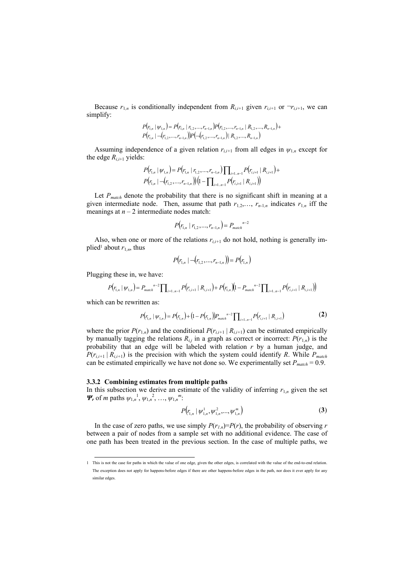Because  $r_{1,n}$  is conditionally independent from  $R_{i,i+1}$  given  $r_{i,i+1}$  or  $\neg r_{i,i+1}$ , we can simplify:

$$
P(r_{1,n} | V_{1,n}) = P(r_{1,n} | r_{1,2},...,r_{n-1,n}) P(r_{1,2},...,r_{n-1,n} | R_{1,2},...,R_{n-1,n}) +
$$
  

$$
P(r_{1,n} | -(r_{1,2},...,r_{n-1,n})) P(-(r_{1,2},...,r_{n-1,n}) | R_{1,2},...,R_{n-1,n})
$$

Assuming independence of a given relation  $r_{i,i+1}$  from all edges in  $\psi_{1,n}$  except for the edge  $R_{i,i+1}$  yields:

$$
P(r_{1,n} | \psi_{1,n}) = P(r_{1,n} | r_{1,2},..., r_{n-1,n}) \prod_{i=1..n-1} P(r_{i,i+1} | R_{i,i+1}) + P(r_{1,n} | -(r_{1,2},..., r_{n-1,n})) (1 - \prod_{i=1..n-1} P(r_{i,i+1} | R_{i,i+1}))
$$

Let *P<sub>match</sub>* denote the probability that there is no significant shift in meaning at a given intermediate node. Then, assume that path  $r_{1,2}, \ldots, r_{n-1,n}$  indicates  $r_{1,n}$  iff the meanings at  $n - 2$  intermediate nodes match:

$$
P(r_{1,n} | r_{1,2},..., r_{n-1,n}) = P_{match}^{n-2}
$$

Also, when one or more of the relations  $r_{i,i+1}$  do not hold, nothing is generally implied<sup>1</sup> about  $r_{1,n}$ , thus

$$
P(r_{1,n} | -(r_{1,2},...,r_{n-1,n})) = P(r_{1,n})
$$

Plugging these in, we have:

$$
P(r_{i,n} | \psi_{1,n}) = P_{\text{match}}^{n-2} \prod_{i=1, n-1} P(r_{i,i+1} | R_{i,i+1}) + P(r_{i,n}) \left(1 - P_{\text{match}}^{n-2} \prod_{i=1, n-1} P(r_{i,i+1} | R_{i,i+1})\right)
$$

which can be rewritten as:

$$
P(r_{1,n} | \psi_{1,n}) = P(r_{1,n}) + (1 - P(r_{1,n}))P_{match}^{n-2} \prod_{i=1,n-1} P(r_{i,i+1} | R_{i,i+1})
$$
 (2)

where the prior  $P(r_{1,n})$  and the conditional  $P(r_{i,i+1} | R_{i,i+1})$  can be estimated empirically by manually tagging the relations  $R_{i,j}$  in a graph as correct or incorrect:  $P(r_{1,n})$  is the probability that an edge will be labeled with relation *r* by a human judge, and  $P(r_{i,i+1} | R_{i,i+1})$  is the precision with which the system could identify *R*. While  $P_{match}$ can be estimated empirically we have not done so. We experimentally set  $P_{match} = 0.9$ .

#### **3.3.2 Combining estimates from multiple paths**

In this subsection we derive an estimate of the validity of inferring  $r_{1,n}$  given the set *Ψ*<sub>*r*</sub> of *m* paths  $ψ_{1,n}$ <sup>1</sup>,  $ψ_{1,n}$ <sup>2</sup>, …,  $ψ_{1,n}$ <sup>*m*</sup>:

$$
P(r_{1,n} | \psi_{1,n}^1, \psi_{1,n}^2, ..., \psi_{1,n}^m)
$$
 (3)

In the case of zero paths, we use simply  $P(r_{1n})=P(r)$ , the probability of observing *r* between a pair of nodes from a sample set with no additional evidence. The case of one path has been treated in the previous section. In the case of multiple paths, we

 <sup>1</sup> This is not the case for paths in which the value of one edge, given the other edges, is correlated with the value of the end-to-end relation. The exception does not apply for happens-before edges if there are other happens-before edges in the path, nor does it ever apply for any similar edges.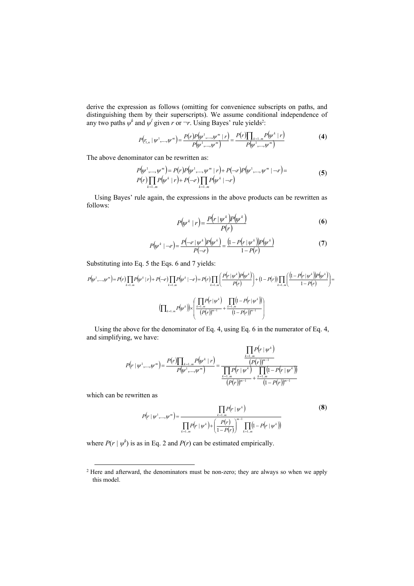derive the expression as follows (omitting for convenience subscripts on paths, and distinguishing them by their superscripts). We assume conditional independence of any two paths  $\psi^k$  and  $\psi^l$  given *r* or  $\neg r$ . Using Bayes' rule yields<sup>2</sup>:

$$
P(r_{1,n} | \psi^1, ..., \psi^m) = \frac{P(r)P(\psi^1, ..., \psi^m | r)}{P(\psi^1, ..., \psi^m)} = \frac{P(r)\prod_{k=1...m}P(\psi^k | r)}{P(\psi^1, ..., \psi^m)}
$$
(4)

The above denominator can be rewritten as:

$$
P(\psi^1, ..., \psi^m) = P(r)P(\psi^1, ..., \psi^m \mid r) + P(-r)P(\psi^1, ..., \psi^m \mid \neg r) =
$$
  
\n
$$
P(r)\prod_{k=1..m} P(\psi^k \mid r) + P(-r)\prod_{k=1..m} P(\psi^k \mid \neg r)
$$
\n(5)

Using Bayes' rule again, the expressions in the above products can be rewritten as follows:

$$
P(\psi^k \mid r) = \frac{P(r \mid \psi^k) P(\psi^k)}{P(r)}
$$
(6)

$$
P(\psi^k \mid -r) = \frac{P(-r \mid \psi^k) P(\psi^k)}{P(-r)} = \frac{(1 - P(r \mid \psi^k)) P(\psi^k)}{1 - P(r)} \tag{7}
$$

Substituting into Eq. 5 the Eqs. 6 and 7 yields:

$$
P(\psi^1, ..., \psi^m) = P(r) \prod_{k=1,m} P(\psi^k | r) + P(-r) \prod_{k=1,m} P(\psi^k | -r) = P(r) \prod_{k=1,m} \left( \frac{P(r | \psi^k) P(\psi^k)}{P(r)} \right) + (1 - P(r)) \prod_{k=1,m} \left( \frac{(1 - P(r | \psi^k)) P(\psi^k)}{1 - P(r)} \right) = \prod_{k=1,m} P(\psi^k) \times \left( \frac{\prod_{k=1,m} P(r | \psi^k)}{(P(r))^{m-1}} + \frac{\prod_{k=1,m} (1 - P(r | \psi^k))}{(1 - P(r))^{m-1}} \right)
$$

Using the above for the denominator of Eq. 4, using Eq. 6 in the numerator of Eq. 4, and simplifying, we have:

$$
P(r \mid \psi^1, ..., \psi^m) = \frac{P(r)\prod_{k=1...m} P(\psi^k \mid r)}{P(\psi^1, ..., \psi^m)} = \frac{\frac{\prod\limits_{k=1...m} P(r \mid \psi^k)}{(P(r))^{m-1}}}{\prod\limits_{k=1...m} P(r \mid \psi^k) \prod\limits_{k=1...m} (1 - P(r \mid \psi^k))}
$$

which can be rewritten as

$$
P(r | \psi^1, ..., \psi^m) = \frac{\prod_{k=1,m} P(r | \psi^k)}{\prod_{k=1,m} P(r | \psi^k) + \left(\frac{P(r)}{1 - P(r)}\right)^{m-1} \prod_{k=1,m} (1 - P(r | \psi^k))}
$$
(8)

where  $P(r | \psi^k)$  is as in Eq. 2 and  $P(r)$  can be estimated empirically.

 <sup>2</sup> Here and afterward, the denominators must be non-zero; they are always so when we apply this model.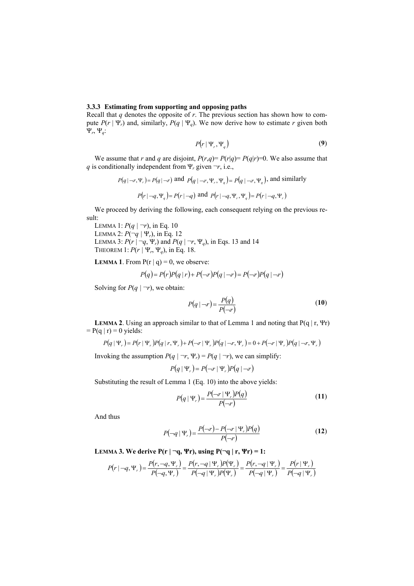## **3.3.3 Estimating from supporting and opposing paths**

Recall that *q* denotes the opposite of *r*. The previous section has shown how to compute  $P(r | \Psi_r)$  and, similarly,  $P(q | \Psi_q)$ . We now derive how to estimate *r* given both Ψ*r*, Ψ*q*:

$$
P(r | \Psi_r, \Psi_q) \tag{9}
$$

We assume that *r* and *q* are disjoint,  $P(r,q) = P(r|q) = P(q|r) = 0$ . We also assume that *q* is conditionally independent from  $\Psi_r$  given  $\neg r$ , i.e.,

$$
P(q \mid \neg r, \Psi_r) = P(q \mid \neg r) \text{ and } P(q \mid \neg r, \Psi_r, \Psi_q) = P(q \mid \neg r, \Psi_q), \text{ and similarly}
$$

$$
P(r \mid \neg q, \Psi_q) = P(r \mid \neg q) \text{ and } P(r \mid \neg q, \Psi_r, \Psi_q) = P(r \mid \neg q, \Psi_r)
$$

We proceed by deriving the following, each consequent relying on the previous result:

LEMMA 1:  $P(q | \neg r)$ , in Eq. 10 LEMMA 2:  $P(\neg q | \Psi_r)$ , in Eq. 12 LEMMA 3:  $P(r | \neg q, \Psi_r)$  and  $P(q | \neg r, \Psi_q)$ , in Eqs. 13 and 14 THEOREM 1:  $P(r | \Psi_r, \Psi_q)$ , in Eq. 18.

**LEMMA 1**. From  $P(r | q) = 0$ , we observe:

$$
P(q) = P(r)P(q | r) + P(\neg r)P(q | \neg r) = P(\neg r)P(q | \neg r)
$$

Solving for  $P(q | \neg r)$ , we obtain:

$$
P(q \mid \neg r) = \frac{P(q)}{P(\neg r)}\tag{10}
$$

**LEMMA 2**. Using an approach similar to that of Lemma 1 and noting that  $P(q | r, \Psi r)$  $= P(q | r) = 0$  yields:

$$
P(q | \Psi_r) = P(r | \Psi_r) P(q | r, \Psi_r) + P(\neg r | \Psi_r) P(q | \neg r, \Psi_r) = 0 + P(\neg r | \Psi_r) P(q | \neg r, \Psi_r)
$$

Invoking the assumption  $P(q | \neg r, \Psi_r) = P(q | \neg r)$ , we can simplify:

$$
P(q | \Psi_r) = P(\neg r | \Psi_r) P(q | \neg r)
$$

Substituting the result of Lemma 1 (Eq. 10) into the above yields:

$$
P(q \mid \Psi_r) = \frac{P(\neg r \mid \Psi_r)P(q)}{P(\neg r)}
$$
\n
$$
(11)
$$

And thus

$$
P(\neg q \mid \Psi_r) = \frac{P(\neg r) - P(\neg r \mid \Psi_r)P(q)}{P(\neg r)}
$$
\n(12)

**LEMMA 3. We derive P(r**  $| \neg q, \Psi r$ **), using P(** $\neg q | r, \Psi r$ **) = 1:** 

$$
P(r \mid \neg q, \Psi_r) = \frac{P(r, \neg q, \Psi_r)}{P(\neg q, \Psi_r)} = \frac{P(r, \neg q \mid \Psi_r) P(\Psi_r)}{P(\neg q \mid \Psi_r) P(\Psi_r)} = \frac{P(r, \neg q \mid \Psi_r)}{P(\neg q \mid \Psi_r)} = \frac{P(r \mid \Psi_r)}{P(\neg q \mid \Psi_r)}
$$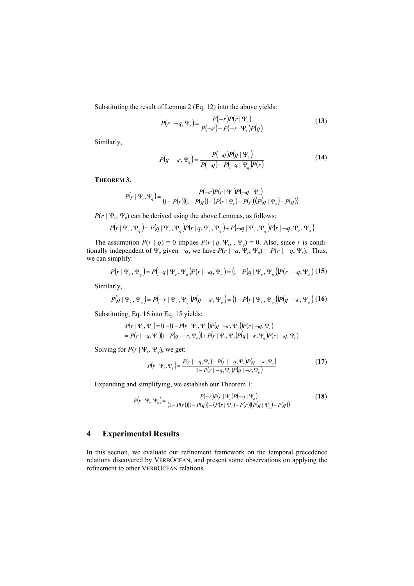Substituting the result of Lemma 2 (Eq. 12) into the above yields:

$$
P(r \mid \neg q, \Psi_r) = \frac{P(\neg r)P(r \mid \Psi_r)}{P(\neg r) - P(\neg r \mid \Psi_r)P(q)}
$$
(13)

Similarly,

$$
P(q \mid -r, \Psi_q) = \frac{P(\neg q)P(q \mid \Psi_q)}{P(\neg q) - P(\neg q \mid \Psi_q)P(r)}
$$
(14)

**THEOREM 3.**

$$
P(r | \Psi_r, \Psi_q) = \frac{P(\neg r)P(r | \Psi_r)P(\neg q | \Psi_q)}{(1 - P(r))(1 - P(q)) - (P(r | \Psi_r) - P(r))(P(q | \Psi_q) - P(q))}
$$

 $P(r | \Psi_r, \Psi_q)$  can be derived using the above Lemmas, as follows:

$$
P(r | \Psi_r, \Psi_q) = P(q | \Psi_r, \Psi_q) P(r | q, \Psi_r, \Psi_q) + P(\neg q | \Psi_r, \Psi_q) P(r | \neg q, \Psi_r, \Psi_q)
$$

The assumption  $P(r | q) = 0$  implies  $P(r | q, \Psi_r, \Psi_q) = 0$ . Also, since *r* is conditionally independent of  $\Psi_q$  given  $\neg q$ , we have  $P(r \mid \neg q, \Psi_r, \Psi_q) = P(r \mid \neg q, \Psi_r)$ . Thus, we can simplify:

$$
P(r | \Psi_r, \Psi_q) = P(-q | \Psi_r, \Psi_q) P(r | -q, \Psi_r) = (1 - P(q | \Psi_r, \Psi_q)) P(r | -q, \Psi_r) (15)
$$

Similarly,

$$
P(q | \Psi_r, \Psi_q) = P(\neg r | \Psi_r, \Psi_q) P(q | \neg r, \Psi_q) = (1 - P(r | \Psi_r, \Psi_q)) P(q | \neg r, \Psi_q) (16)
$$

Substituting, Eq. 16 into Eq. 15 yields:

$$
P(r | \Psi_r, \Psi_q) = (1 - (1 - P(r | \Psi_r, \Psi_q))P(q | -r, \Psi_q))P(r | -q, \Psi_r)
$$
  
= 
$$
P(r | -q, \Psi_r)(1 - P(q | -r, \Psi_q)) + P(r | \Psi_r, \Psi_q)P(q | -r, \Psi_q)P(r | -q, \Psi_r)
$$

Solving for  $P(r | \Psi_r, \Psi_q)$ , we get:

$$
P(r | \Psi_r, \Psi_q) = \frac{P(r | \neg q, \Psi_r) - P(r | \neg q, \Psi_r) P(q | \neg r, \Psi_q)}{1 - P(r | \neg q, \Psi_r) P(q | \neg r, \Psi_q)}
$$
(17)

Expanding and simplifying, we establish our Theorem 1:

$$
P(r | \Psi_r, \Psi_q) = \frac{P(\neg r)P(r | \Psi_r)P(\neg q | \Psi_q)}{(1 - P(r))(1 - P(q)) - (P(r | \Psi_r) - P(r))(P(q | \Psi_q) - P(q))}
$$
(18)

# **4 Experimental Results**

In this section, we evaluate our refinement framework on the temporal precedence relations discovered by VERBOCEAN, and present some observations on applying the refinement to other VERBOCEAN relations.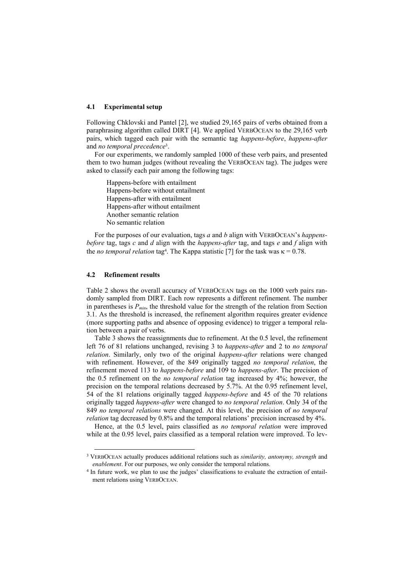### **4.1 Experimental setup**

Following Chklovski and Pantel [2], we studied 29,165 pairs of verbs obtained from a paraphrasing algorithm called DIRT [4]. We applied VERBOCEAN to the 29,165 verb pairs, which tagged each pair with the semantic tag *happens-before*, *happens-after* and *no temporal precedence*3.

For our experiments, we randomly sampled 1000 of these verb pairs, and presented them to two human judges (without revealing the VERBOCEAN tag). The judges were asked to classify each pair among the following tags:

Happens-before with entailment Happens-before without entailment Happens-after with entailment Happens-after without entailment Another semantic relation No semantic relation

For the purposes of our evaluation, tags *a* and *b* align with VERBOCEAN's *happensbefore* tag, tags *c* and *d* align with the *happens-after* tag, and tags *e* and *f* align with the *no temporal relation* tag<sup>4</sup>. The Kappa statistic [7] for the task was  $\kappa = 0.78$ .

### **4.2 Refinement results**

Table 2 shows the overall accuracy of VERBOCEAN tags on the 1000 verb pairs randomly sampled from DIRT. Each row represents a different refinement. The number in parentheses is  $P_{min}$ , the threshold value for the strength of the relation from Section 3.1. As the threshold is increased, the refinement algorithm requires greater evidence (more supporting paths and absence of opposing evidence) to trigger a temporal relation between a pair of verbs.

Table 3 shows the reassignments due to refinement. At the 0.5 level, the refinement left 76 of 81 relations unchanged, revising 3 to *happens-after* and 2 to *no temporal relation*. Similarly, only two of the original *happens-after* relations were changed with refinement. However, of the 849 originally tagged *no temporal relation*, the refinement moved 113 to *happens-before* and 109 to *happens-after*. The precision of the 0.5 refinement on the *no temporal relation* tag increased by 4%; however, the precision on the temporal relations decreased by 5.7%. At the 0.95 refinement level, 54 of the 81 relations originally tagged *happens-before* and 45 of the 70 relations originally tagged *happens-after* were changed to *no temporal relation*. Only 34 of the 849 *no temporal relations* were changed. At this level, the precision of *no temporal relation* tag decreased by 0.8% and the temporal relations' precision increased by 4%.

Hence, at the 0.5 level, pairs classified as *no temporal relation* were improved while at the 0.95 level, pairs classified as a temporal relation were improved. To lev-

 <sup>3</sup> VERBOCEAN actually produces additional relations such as *similarity, antonymy, strength* and *enablement*. For our purposes, we only consider the temporal relations.<br><sup>4</sup> In future work, we plan to use the judges' classifications to evaluate the extraction of entail-

ment relations using VERBOCEAN.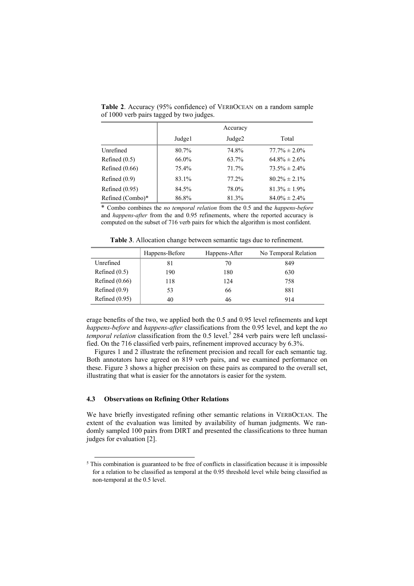|                  |        | Accuracy |                    |
|------------------|--------|----------|--------------------|
|                  | Judge1 | Judge2   | Total              |
| Unrefined        | 80.7%  | 74.8%    | $77.7\% \pm 2.0\%$ |
| Refined $(0.5)$  | 66.0%  | 63.7%    | $64.8\% \pm 2.6\%$ |
| Refined $(0.66)$ | 75.4%  | 71.7%    | $73.5\% \pm 2.4\%$ |
| Refined $(0.9)$  | 83.1%  | $77.2\%$ | $80.2\% \pm 2.1\%$ |
| Refined $(0.95)$ | 84.5%  | 78.0%    | $81.3\% \pm 1.9\%$ |
| Refined (Combo)* | 86.8%  | 81.3%    | $84.0\% \pm 2.4\%$ |

**Table 2**. Accuracy (95% confidence) of VERBOCEAN on a random sample of 1000 verb pairs tagged by two judges.

\* Combo combines the *no temporal relation* from the 0.5 and the *happens-before* and *happens-after* from the and 0.95 refinements, where the reported accuracy is computed on the subset of 716 verb pairs for which the algorithm is most confident.

**Table 3**. Allocation change between semantic tags due to refinement.

| Happens-Before | Happens-After | No Temporal Relation |  |
|----------------|---------------|----------------------|--|
| 81             | 70            | 849                  |  |
| 190            | 180           | 630                  |  |
| 118            | 124           | 758                  |  |
| 53             | 66            | 881                  |  |
| 40             | 46            | 914                  |  |
|                |               |                      |  |

erage benefits of the two, we applied both the 0.5 and 0.95 level refinements and kept *happens-before* and *happens-after* classifications from the 0.95 level, and kept the *no*  temporal relation classification from the 0.5 level.<sup>5</sup> 284 verb pairs were left unclassified. On the 716 classified verb pairs, refinement improved accuracy by 6.3%.

Figures 1 and 2 illustrate the refinement precision and recall for each semantic tag. Both annotators have agreed on 819 verb pairs, and we examined performance on these. Figure 3 shows a higher precision on these pairs as compared to the overall set, illustrating that what is easier for the annotators is easier for the system.

## **4.3 Observations on Refining Other Relations**

We have briefly investigated refining other semantic relations in VERBOCEAN. The extent of the evaluation was limited by availability of human judgments. We randomly sampled 100 pairs from DIRT and presented the classifications to three human judges for evaluation [2].

<sup>&</sup>lt;sup>5</sup> This combination is guaranteed to be free of conflicts in classification because it is impossible for a relation to be classified as temporal at the 0.95 threshold level while being classified as non-temporal at the 0.5 level.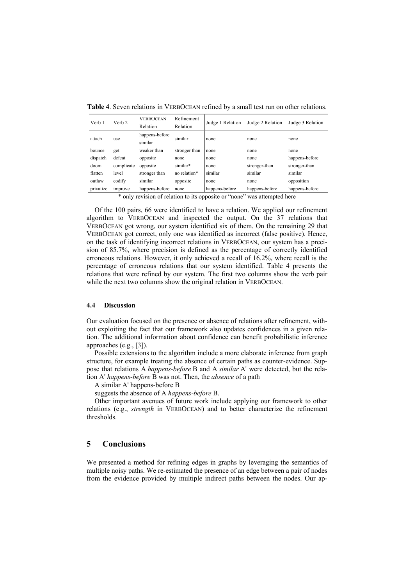| Verb 1    | Verb 2     | <b>VERBOCEAN</b><br>Relation | Refinement<br>Relation | Judge 1 Relation | Judge 2 Relation | Judge 3 Relation |
|-----------|------------|------------------------------|------------------------|------------------|------------------|------------------|
| attach    | use        | happens-before<br>similar    | similar                | none             | none             | none             |
| bounce    | get        | weaker than                  | stronger than          | none             | none             | none             |
| dispatch  | defeat     | opposite                     | none                   | none             | none             | happens-before   |
| doom      | complicate | opposite                     | similar*               | none             | stronger-than    | stronger-than    |
| flatten   | level      | stronger than                | no relation*           | similar          | similar          | similar          |
| outlaw    | codify     | similar                      | opposite               | none             | none             | opposition       |
| privatize | improve    | happens-before               | none                   | happens-before   | happens-before   | happens-before   |

**Table 4**. Seven relations in VERBOCEAN refined by a small test run on other relations.

\* only revision of relation to its opposite or "none" was attempted here

Of the 100 pairs, 66 were identified to have a relation. We applied our refinement algorithm to VERBOCEAN and inspected the output. On the 37 relations that VERBOCEAN got wrong, our system identified six of them. On the remaining 29 that VERBOCEAN got correct, only one was identified as incorrect (false positive). Hence, on the task of identifying incorrect relations in VERBOCEAN, our system has a precision of 85.7%, where precision is defined as the percentage of correctly identified erroneous relations. However, it only achieved a recall of 16.2%, where recall is the percentage of erroneous relations that our system identified. Table 4 presents the relations that were refined by our system. The first two columns show the verb pair while the next two columns show the original relation in VERBOCEAN.

### **4.4 Discussion**

Our evaluation focused on the presence or absence of relations after refinement, without exploiting the fact that our framework also updates confidences in a given relation. The additional information about confidence can benefit probabilistic inference approaches (e.g., [3]).

Possible extensions to the algorithm include a more elaborate inference from graph structure, for example treating the absence of certain paths as counter-evidence. Suppose that relations A *happens-before* B and A *similar* A' were detected, but the relation A' *happens-before* B was not. Then, the *absence* of a path

A similar A' happens-before B

suggests the absence of A *happens-before* B.

Other important avenues of future work include applying our framework to other relations (e.g., *strength* in VERBOCEAN) and to better characterize the refinement thresholds.

# **5 Conclusions**

We presented a method for refining edges in graphs by leveraging the semantics of multiple noisy paths. We re-estimated the presence of an edge between a pair of nodes from the evidence provided by multiple indirect paths between the nodes. Our ap-